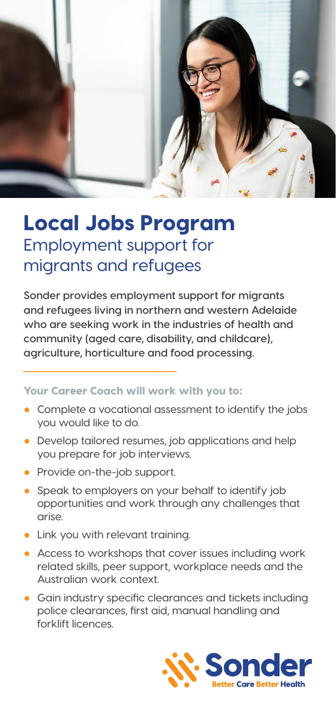

# Local Jobs Program Employment support for migrants and refugees

**Sonder provides employment support for migrants and refugees living in northern and western Adelaide who are seeking work in the industries of health and community (aged care, disability, and childcare), agriculture, horticulture and food processing.**

### Your Career Coach will work with you to:

- Complete a vocational assessment to identify the jobs you would like to do.
- Develop tailored resumes, job applications and help you prepare for job interviews.
- Provide on-the-job support.
- Speak to employers on your behalf to identify job opportunities and work through any challenges that arise.
- Link you with relevant training.
- Access to workshops that cover issues including work related skills, peer support, workplace needs and the Australian work context.
- Gain industry specific clearances and tickets including police clearances, first aid, manual handling and forklift licences.